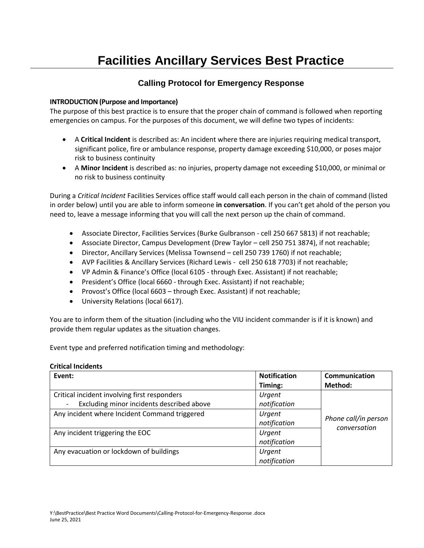# **Facilities Ancillary Services Best Practice**

### **Calling Protocol for Emergency Response**

#### **INTRODUCTION (Purpose and Importance)**

The purpose of this best practice is to ensure that the proper chain of command is followed when reporting emergencies on campus. For the purposes of this document, we will define two types of incidents:

- A **Critical Incident** is described as: An incident where there are injuries requiring medical transport, significant police, fire or ambulance response, property damage exceeding \$10,000, or poses major risk to business continuity
- A **Minor Incident** is described as: no injuries, property damage not exceeding \$10,000, or minimal or no risk to business continuity

During a *Critical Incident* Facilities Services office staff would call each person in the chain of command (listed in order below) until you are able to inform someone **in conversation**. If you can't get ahold of the person you need to, leave a message informing that you will call the next person up the chain of command.

- Associate Director, Facilities Services (Burke Gulbranson cell 250 667 5813) if not reachable;
- Associate Director, Campus Development (Drew Taylor cell 250 751 3874), if not reachable;
- Director, Ancillary Services (Melissa Townsend cell 250 739 1760) if not reachable;
- AVP Facilities & Ancillary Services (Richard Lewis cell 250 618 7703) if not reachable;
- VP Admin & Finance's Office (local 6105 through Exec. Assistant) if not reachable;
- President's Office (local 6660 through Exec. Assistant) if not reachable;
- Provost's Office (local 6603 through Exec. Assistant) if not reachable;
- University Relations (local 6617).

You are to inform them of the situation (including who the VIU incident commander is if it is known) and provide them regular updates as the situation changes.

Event type and preferred notification timing and methodology:

#### **Critical Incidents**

| Event:                                                                                    | <b>Notification</b><br>Timing: | Communication<br>Method: |
|-------------------------------------------------------------------------------------------|--------------------------------|--------------------------|
| Critical incident involving first responders<br>Excluding minor incidents described above | Urgent<br>notification         |                          |
| Any incident where Incident Command triggered                                             | Urgent<br>notification         | Phone call/in person     |
| Any incident triggering the EOC                                                           | Urgent<br>notification         | conversation             |
| Any evacuation or lockdown of buildings                                                   | Urgent<br>notification         |                          |